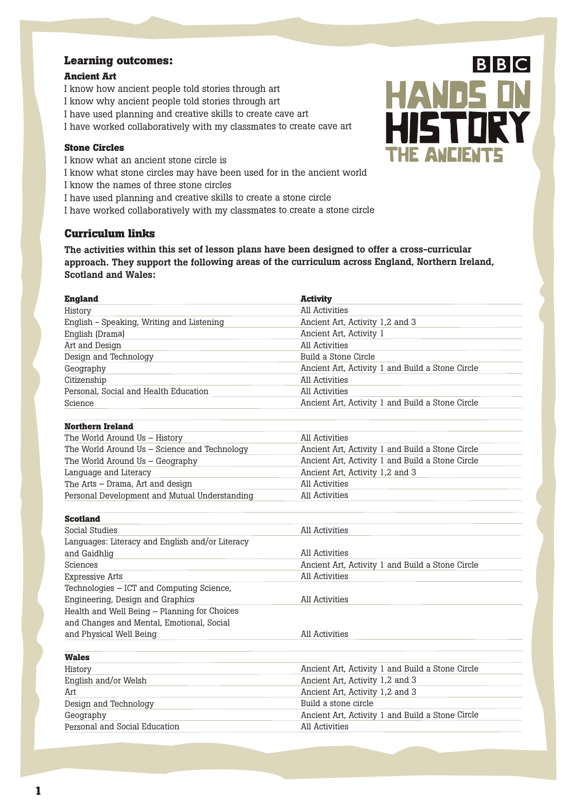#### **Learning outcomes:**

#### **Ancient Art**

I know how ancient people told stories through art I know why ancient people told stories through art I have used planning and creative skills to create cave art I have worked collaboratively with my classmates to create cave art

#### **Stone Circles**

I know what an ancient stone circle is I know what stone circles may have been used for in the ancient world I know the names of three stone circles I have used planning and creative skills to create <sup>a</sup> stone circle I have worked collaboratively with my classmates to create <sup>a</sup> stone circle

#### **Curriculum links**

**The activities within this set of lesson plans have been designed to offer <sup>a</sup> cross-curricular approach. They support the following areas of the curriculum across England, Northern Ireland, Scotland and Wales:**

| <b>England</b>                                  | <b>Activity</b>                                  |
|-------------------------------------------------|--------------------------------------------------|
| History                                         | All Activities                                   |
| English - Speaking, Writing and Listening       | Ancient Art, Activity 1,2 and 3                  |
| English (Drama)                                 | Ancient Art, Activity 1                          |
| Art and Design                                  | All Activities                                   |
| Design and Technology                           | Build a Stone Circle                             |
| Geography                                       | Ancient Art, Activity 1 and Build a Stone Circle |
| Citizenship                                     | All Activities                                   |
| Personal, Social and Health Education           | All Activities                                   |
| Science                                         | Ancient Art, Activity 1 and Build a Stone Circle |
| <b>Northern Ireland</b>                         |                                                  |
| The World Around Us - History                   | All Activities                                   |
| The World Around Us - Science and Technology    | Ancient Art, Activity 1 and Build a Stone Circle |
| The World Around Us - Geography                 | Ancient Art, Activity 1 and Build a Stone Circle |
| Language and Literacy                           | Ancient Art, Activity 1,2 and 3                  |
| The Arts - Drama, Art and design                | All Activities                                   |
| Personal Development and Mutual Understanding   | All Activities                                   |
| <b>Scotland</b>                                 |                                                  |
| <b>Social Studies</b>                           | All Activities                                   |
| Languages: Literacy and English and/or Literacy |                                                  |
| and Gaidhlig                                    | All Activities                                   |
| Sciences                                        | Ancient Art, Activity 1 and Build a Stone Circle |
| <b>Expressive Arts</b>                          | All Activities                                   |
| Technologies - ICT and Computing Science,       |                                                  |
| Engineering, Design and Graphics                | All Activities                                   |
| Health and Well Being - Planning for Choices    |                                                  |
| and Changes and Mental, Emotional, Social       |                                                  |
| and Physical Well Being                         | All Activities                                   |
| <b>Wales</b>                                    |                                                  |
| History                                         | Ancient Art, Activity 1 and Build a Stone Circle |
| English and/or Welsh                            | Ancient Art, Activity 1,2 and 3                  |
| Art                                             | Ancient Art, Activity 1,2 and 3                  |
| Design and Technology                           | Build a stone circle                             |
| Geography                                       | Ancient Art, Activity 1 and Build a Stone Circle |
| Personal and Social Education                   | All Activities                                   |
|                                                 |                                                  |

 $B|B|C$ **HANDS IN** HISTORY THE ANCIENTS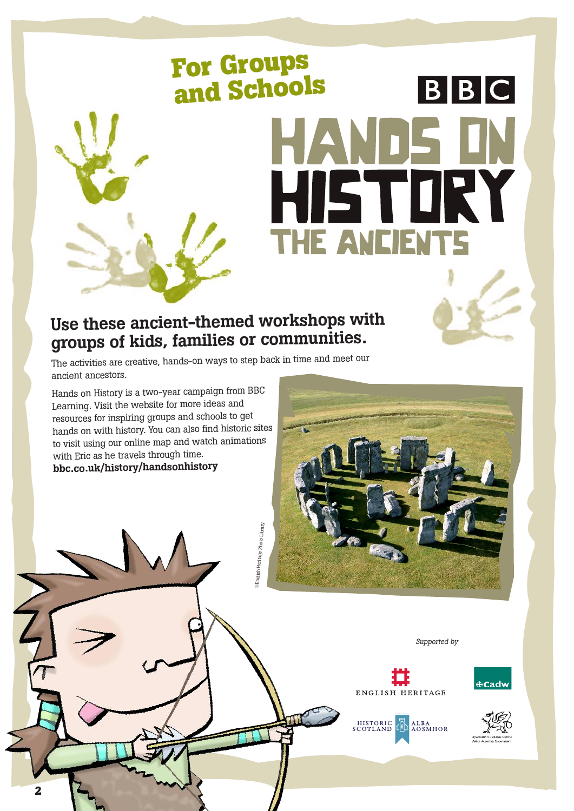### **For Groups and Schools**  $B|B|C$ HANDE HISTORY THE ANCIENTS

#### **Use these ancient-themed workshops with groups of kids, families or communities.**

 $^{\circledR}$ nglish Heritage Photo Library

glish Heritage Photo Library

The activities are creative, hands-on ways to step back in time and meet our ancient ancestors.

Hands on History is <sup>a</sup> two-year campaign from BBC Learning. Visit the website for more ideas and resources for inspiring groups and schools to get hands on with history. You can also find historic sites to visit using our online map and watch animations with Eric as he travels through time. **bbc.co.uk/history/handsonhistory**



*Supported by*





ENGLISH HERITAGE

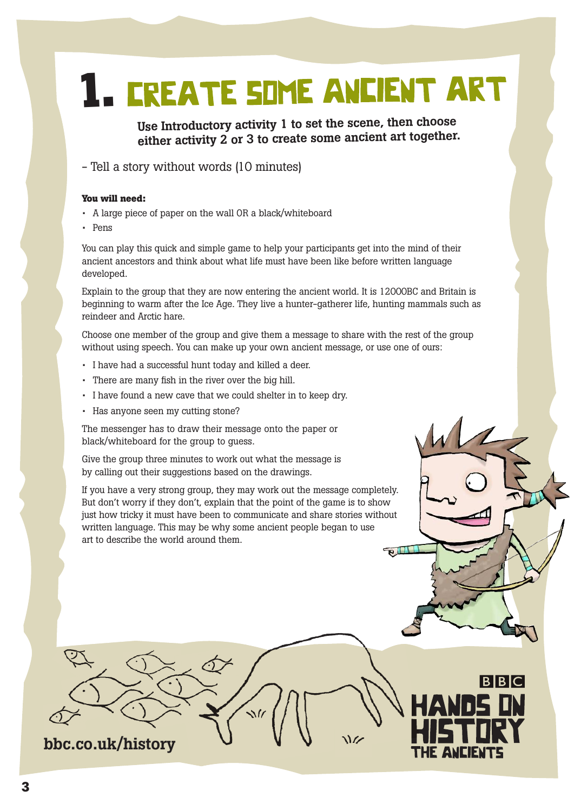## **1. EREATE SIME ANCIENT ART**

**Use Introductory activity <sup>1</sup> to set the scene, then choose either activity <sup>2</sup> or <sup>3</sup> to create some ancient art together.**

- Tell a story without words (10 minutes)

#### **You will need:**

- A large piece of paper on the wall OR a black/whiteboard
- Pens

You can play this quick and simple game to help your participants get into the mind of their ancient ancestors and think about what life must have been like before written language developed.

Explain to the group that they are now entering the ancient world. It is 12000BC and Britain is beginning to warm after the Ice Age. They live a hunter-gatherer life, hunting mammals such as reindeer and Arctic hare.

Choose one member of the group and give them a message to share with the rest of the group without using speech. You can make up your own ancient message, or use one of ours:

- I have had a successful hunt today and killed a deer.
- There are many fish in the river over the big hill.
- I have found a new cave that we could shelter in to keep dry.
- Has anyone seen my cutting stone?

The messenger has to draw their message onto the paper or black/whiteboard for the group to guess.

Give the group three minutes to work out what the message is by calling out their suggestions based on the drawings.

If you have a very strong group, they may work out the message completely. But don't worry if they don't, explain that the point of the game is to show just how tricky it must have been to communicate and share stories without written language. This may be why some ancient people began to use art to describe the world around them.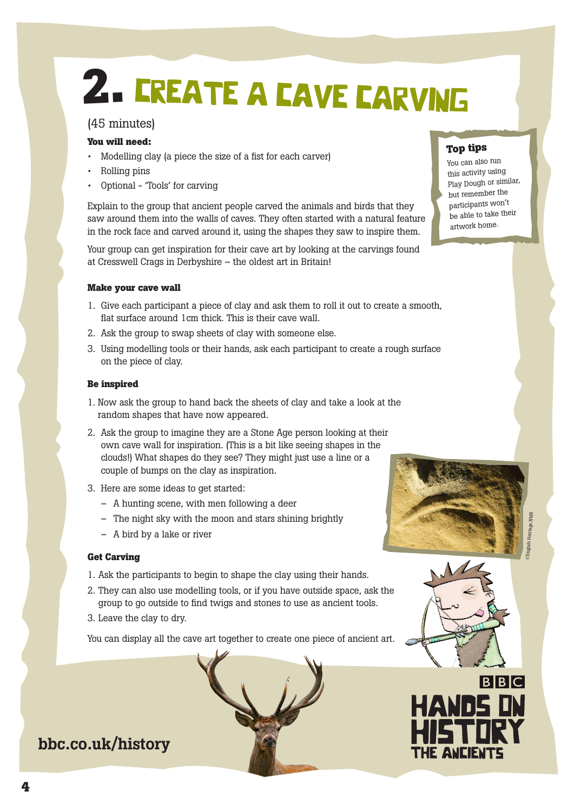## **2.**

#### (45 minutes)

#### **You will need:**

- Modelling clay (a piece the size of a fist for each carver)
- Rolling pins
- Optional 'Tools' for carving

Explain to the group that ancient people carved the animals and birds that they saw around them into the walls of caves. They often started with a natural feature in the rock face and carved around it, using the shapes they saw to inspire them.

Your group can get inspiration for their cave art by looking at the carvings found at Cresswell Crags in Derbyshire – the oldest art in Britain!

#### **Make your cave wall**

- 1. Give each participant a piece of clay and ask them to roll it out to create a smooth, flat surface around 1cm thick. This is their cave wall.
- 2. Ask the group to swap sheets of clay with someone else.
- 3. Using modelling tools or their hands, ask each participant to create a rough surface on the piece of clay.

#### **Be inspired**

- 1. Now ask the group to hand back the sheets of clay and take a look at the random shapes that have now appeared.
- 2. Ask the group to imagine they are a Stone Age person looking at their own cave wall for inspiration. (This is a bit like seeing shapes in the clouds!) What shapes do they see? They might just use a line or a couple of bumps on the clay as inspiration.
- 3. Here are some ideas to get started:
	- A hunting scene, with men following a deer
	- The night sky with the moon and stars shining brightly
	- A bird by a lake or river

#### **Get Carving**

- 1. Ask the participants to begin to shape the clay using their hands.
- 2. They can also use modelling tools, or if you have outside space, ask the group to go outside to find twigs and stones to use as ancient tools.
- 3. Leave the clay to dry.

You can display all the cave art together to create one piece of ancient art.



#### **bbc.co.uk/history**

#### **Top tips**

You can also run this activity using Play Dough or similar, but remember the participants won't be able to take their artwork home.





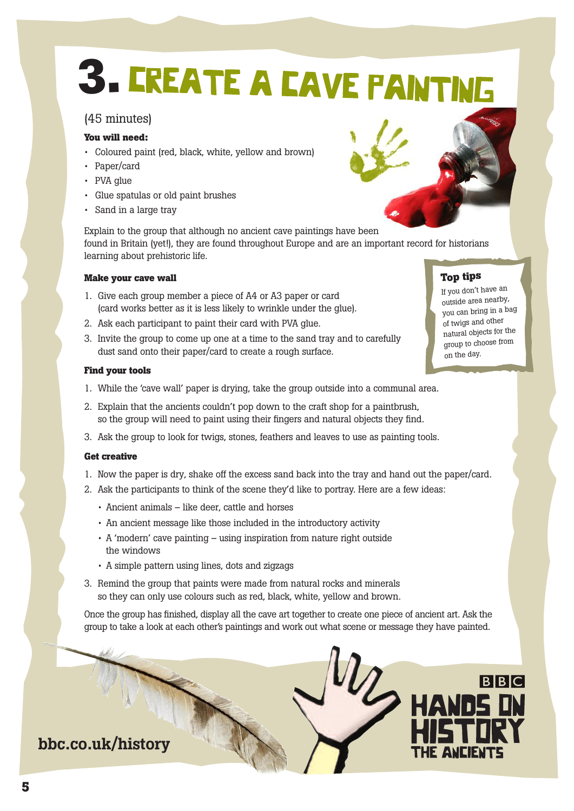## **3.**

#### (45 minutes)

#### **You will need:**

- Coloured paint (red, black, white, yellow and brown)
- Paper/card
- PVA glue
- Glue spatulas or old paint brushes
- Sand in a large tray

Explain to the group that although no ancient cave paintings have been found in Britain (yet!), they are found throughout Europe and are an important record for historians learning about prehistoric life.

#### **Make your cave wall**

- 1. Give each group member a piece of A4 or A3 paper or card (card works better as it is less likely to wrinkle under the glue).
- 2. Ask each participant to paint their card with PVA glue.
- 3. Invite the group to come up one at a time to the sand tray and to carefully dust sand onto their paper/card to create a rough surface.

#### **Find your tools**

- 1. While the 'cave wall' paper is drying, take the group outside into a communal area.
- 2. Explain that the ancients couldn't pop down to the craft shop for a paintbrush, so the group will need to paint using their fingers and natural objects they find.
- 3. Ask the group to look for twigs, stones, feathers and leaves to use as painting tools.

#### **Get creative**

- 1. Now the paper is dry, shake off the excess sand back into the tray and hand out the paper/card.
- 2. Ask the participants to think of the scene they'd like to portray. Here are a few ideas:
	- Ancient animals like deer, cattle and horses
	- An ancient message like those included in the introductory activity
	- A 'modern' cave painting using inspiration from nature right outside the windows
	- A simple pattern using lines, dots and zigzags
- 3. Remind the group that paints were made from natural rocks and minerals so they can only use colours such as red, black, white, yellow and brown.

Once the group has finished, display all the cave art together to create one piece of ancient art. Ask the group to take a look at each other's paintings and work out what scene or message they have painted.





**Top tips** If you don't have an outside area nearby, you can bring in <sup>a</sup> bag of twigs and other natural objects for the group to choose from on the day.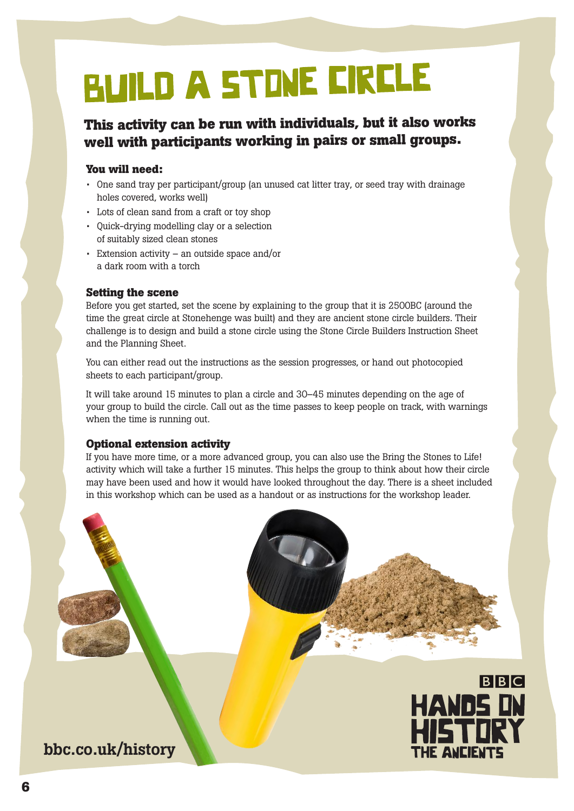## **BUILD A STINE CIRCLE**

#### **This activity can be run with individuals, but it also works well with participants working in pairs or small groups.**

#### **You will need:**

- One sand tray per participant/group (an unused cat litter tray, or seed tray with drainage holes covered, works well)
- Lots of clean sand from a craft or toy shop
- Quick-drying modelling clay or a selection of suitably sized clean stones
- Extension activity an outside space and/or a dark room with a torch

#### **Setting the scene**

Before you get started, set the scene by explaining to the group that it is 2500BC (around the time the great circle at Stonehenge was built) and they are ancient stone circle builders. Their challenge is to design and build a stone circle using the Stone Circle Builders Instruction Sheet and the Planning Sheet.

You can either read out the instructions as the session progresses, or hand out photocopied sheets to each participant/group.

It will take around 15 minutes to plan a circle and 30–45 minutes depending on the age of your group to build the circle. Call out as the time passes to keep people on track, with warnings when the time is running out.

#### **Optional extension activity**

If you have more time, or a more advanced group, you can also use the Bring the Stones to Life! activity which will take a further 15 minutes. This helps the group to think about how their circle may have been used and how it would have looked throughout the day. There is a sheet included in this workshop which can be used as a handout or as instructions for the workshop leader.



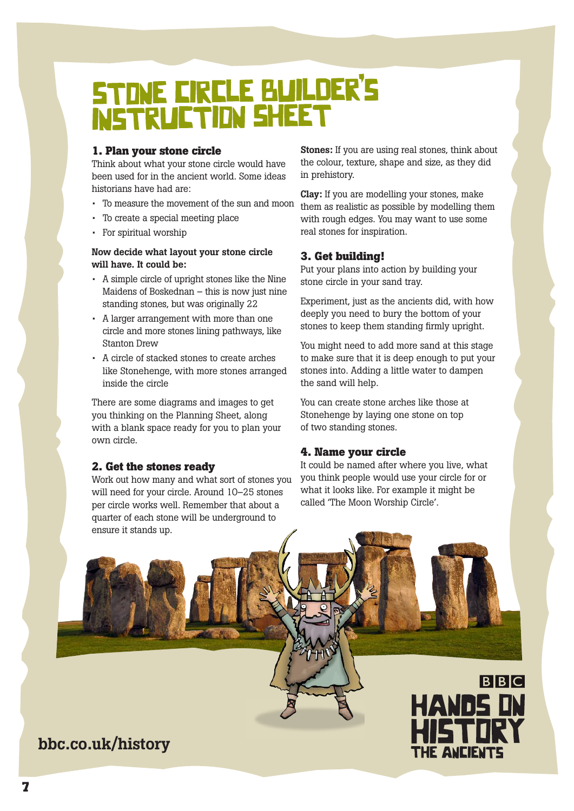## STONE CIRCLE BUILDER'S

#### **1. Plan your stone circle**

Think about what your stone circle would have been used for in the ancient world. Some ideas historians have had are:

- To measure the movement of the sun and moon
- To create a special meeting place
- For spiritual worship

**Now decide what layout your stone circle will have. It could be:**

- A simple circle of upright stones like the Nine Maidens of Boskednan – this is now just nine standing stones, but was originally 22
- A larger arrangement with more than one circle and more stones lining pathways, like Stanton Drew
- A circle of stacked stones to create arches like Stonehenge, with more stones arranged inside the circle

There are some diagrams and images to get you thinking on the Planning Sheet, along with a blank space ready for you to plan your own circle.

#### **2. Get the stones ready**

Work out how many and what sort of stones you will need for your circle. Around 10–25 stones per circle works well. Remember that about a quarter of each stone will be underground to ensure it stands up.

**Stones:** If you are using real stones, think about the colour, texture, shape and size, as they did in prehistory.

**Clay:** If you are modelling your stones, make them as realistic as possible by modelling them with rough edges. You may want to use some real stones for inspiration.

#### **3. Get building!**

Put your plans into action by building your stone circle in your sand tray.

Experiment, just as the ancients did, with how deeply you need to bury the bottom of your stones to keep them standing firmly upright.

You might need to add more sand at this stage to make sure that it is deep enough to put your stones into. Adding a little water to dampen the sand will help.

You can create stone arches like those at Stonehenge by laying one stone on top of two standing stones.

#### **4. Name your circle**

It could be named after where you live, what you think people would use your circle for or what it looks like. For example it might be called 'The Moon Worship Circle'.

**BBC** 

THE ANCIENTS

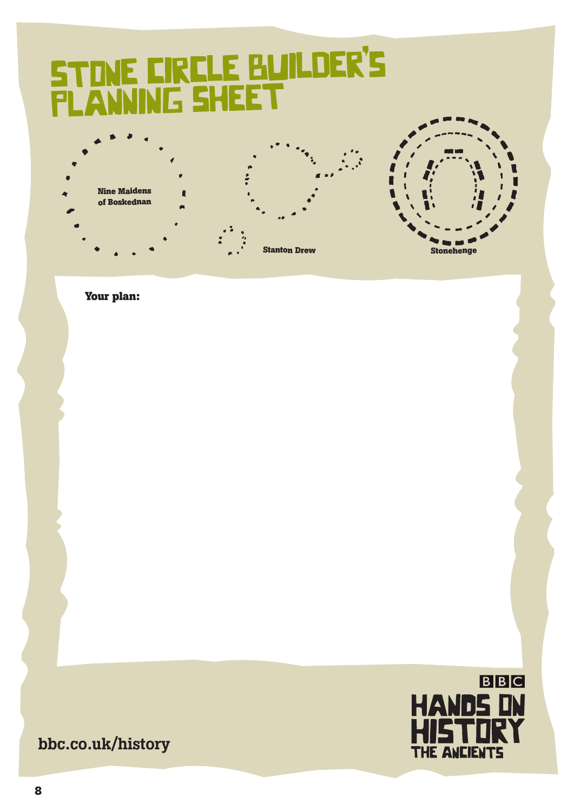# STINE EIRELE BUILDER'S



**Your plan:**